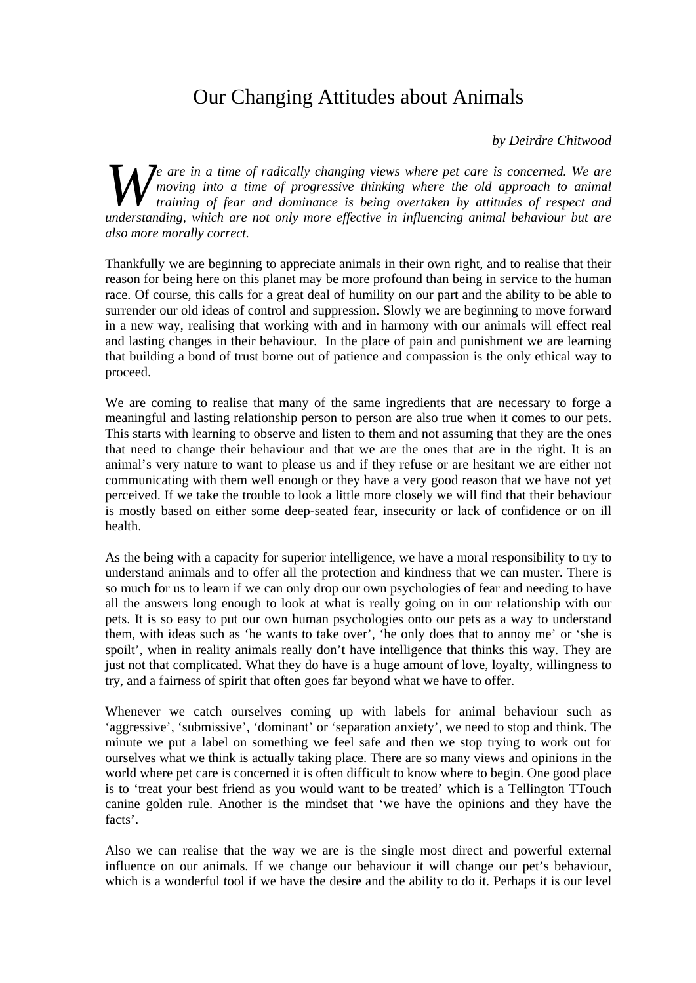## Our Changing Attitudes about Animals

## *by Deirdre Chitwood*

*e are in a time of radically changing views where pet care is concerned. We are moving into a time of progressive thinking where the old approach to animal training of fear and dominance is being overtaken by attitudes moving into a time of progressive thinking where the old approach to animal training of fear and dominance is being overtaken by attitudes of respect and understanding, which are not only more effective in influencing animal behaviour but are also more morally correct.* 

Thankfully we are beginning to appreciate animals in their own right, and to realise that their reason for being here on this planet may be more profound than being in service to the human race. Of course, this calls for a great deal of humility on our part and the ability to be able to surrender our old ideas of control and suppression. Slowly we are beginning to move forward in a new way, realising that working with and in harmony with our animals will effect real and lasting changes in their behaviour. In the place of pain and punishment we are learning that building a bond of trust borne out of patience and compassion is the only ethical way to proceed.

We are coming to realise that many of the same ingredients that are necessary to forge a meaningful and lasting relationship person to person are also true when it comes to our pets. This starts with learning to observe and listen to them and not assuming that they are the ones that need to change their behaviour and that we are the ones that are in the right. It is an animal's very nature to want to please us and if they refuse or are hesitant we are either not communicating with them well enough or they have a very good reason that we have not yet perceived. If we take the trouble to look a little more closely we will find that their behaviour is mostly based on either some deep-seated fear, insecurity or lack of confidence or on ill health.

As the being with a capacity for superior intelligence, we have a moral responsibility to try to understand animals and to offer all the protection and kindness that we can muster. There is so much for us to learn if we can only drop our own psychologies of fear and needing to have all the answers long enough to look at what is really going on in our relationship with our pets. It is so easy to put our own human psychologies onto our pets as a way to understand them, with ideas such as 'he wants to take over', 'he only does that to annoy me' or 'she is spoilt', when in reality animals really don't have intelligence that thinks this way. They are just not that complicated. What they do have is a huge amount of love, loyalty, willingness to try, and a fairness of spirit that often goes far beyond what we have to offer.

Whenever we catch ourselves coming up with labels for animal behaviour such as 'aggressive', 'submissive', 'dominant' or 'separation anxiety', we need to stop and think. The minute we put a label on something we feel safe and then we stop trying to work out for ourselves what we think is actually taking place. There are so many views and opinions in the world where pet care is concerned it is often difficult to know where to begin. One good place is to 'treat your best friend as you would want to be treated' which is a Tellington TTouch canine golden rule. Another is the mindset that 'we have the opinions and they have the facts'.

Also we can realise that the way we are is the single most direct and powerful external influence on our animals. If we change our behaviour it will change our pet's behaviour, which is a wonderful tool if we have the desire and the ability to do it. Perhaps it is our level